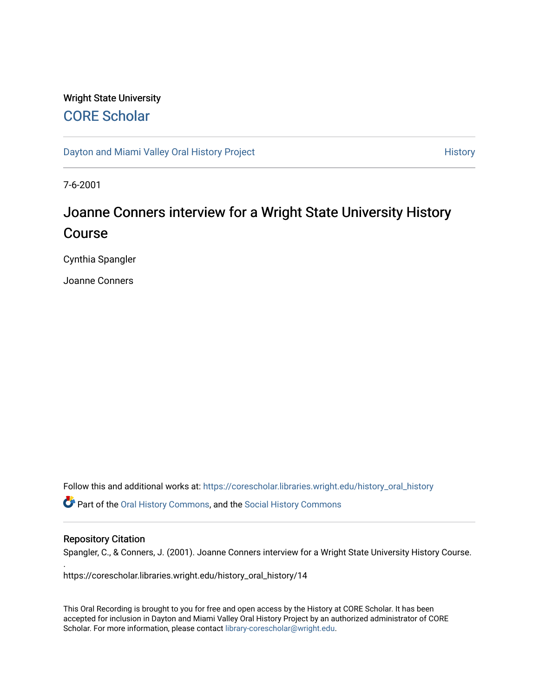# Wright State University [CORE Scholar](https://corescholar.libraries.wright.edu/)

[Dayton and Miami Valley Oral History Project](https://corescholar.libraries.wright.edu/history_oral_history) **History** History

7-6-2001

# Joanne Conners interview for a Wright State University History Course

Cynthia Spangler

Joanne Conners

Follow this and additional works at: [https://corescholar.libraries.wright.edu/history\\_oral\\_history](https://corescholar.libraries.wright.edu/history_oral_history?utm_source=corescholar.libraries.wright.edu%2Fhistory_oral_history%2F14&utm_medium=PDF&utm_campaign=PDFCoverPages)  Part of the [Oral History Commons](http://network.bepress.com/hgg/discipline/1195?utm_source=corescholar.libraries.wright.edu%2Fhistory_oral_history%2F14&utm_medium=PDF&utm_campaign=PDFCoverPages), and the [Social History Commons](http://network.bepress.com/hgg/discipline/506?utm_source=corescholar.libraries.wright.edu%2Fhistory_oral_history%2F14&utm_medium=PDF&utm_campaign=PDFCoverPages)

#### Repository Citation

.

Spangler, C., & Conners, J. (2001). Joanne Conners interview for a Wright State University History Course.

https://corescholar.libraries.wright.edu/history\_oral\_history/14

This Oral Recording is brought to you for free and open access by the History at CORE Scholar. It has been accepted for inclusion in Dayton and Miami Valley Oral History Project by an authorized administrator of CORE Scholar. For more information, please contact [library-corescholar@wright.edu](mailto:library-corescholar@wright.edu).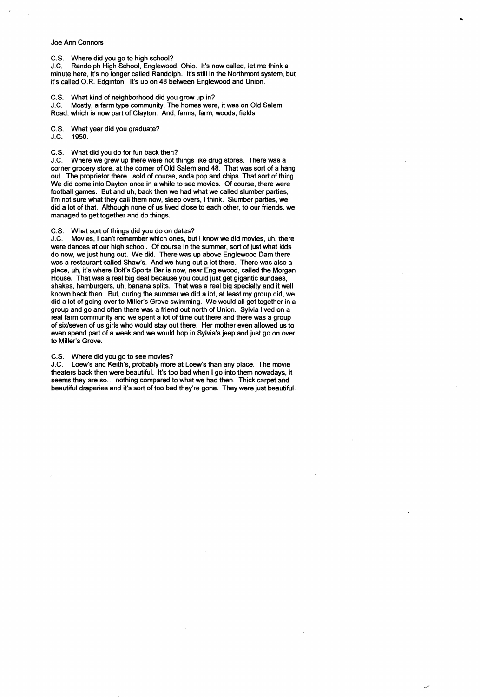### Joe Ann Connors

C.S. Where did you go to high school?

J.C. Randolph High School, Englewood, Ohio. It's now called, let me think a minute here, it's no longer called Randolph. It's still in the Northmont system, but it's called O.R. Edginton. It's up on 48 between Englewood and Union.

C.S. What kind of neighborhood did you grow up in?

J.C. Mostly, a farm type community. The homes were, it was on Old Salem Road, which is now part of Clayton. And, farms, farm, woods, fields.

C.S. What year did you graduate?

J.C. 1950.

C.S. What did you do for fun back then?

J.C. Where we grew up there were not things like drug stores. There was a corner grocery store, at the corner of Old Salem and 48. That was sort of a hang out. The proprietor there sold of course, soda pop and chips. That sort of thing. We did come into Dayton once in a while to see movies. Of course, there were football games. But and uh, back then we had what we called slumber parties, I'm not sure what they call them now, sleep overs, I think. Slumber parties, we did a lot of that. Although none of us lived close to each other, to our friends, we managed to get together and do things.

# C.S. What sort of things did you do on dates?

J.C. Movies, I can't remember which ones, but I know we did movies, uh, there were dances at our high school. Of course in the summer, sort of just what kids do now, we just hung out. We did. There was up above Englewood Dam there was a restaurant called Shaw's. And we hung out a lot there. There was also a place, uh, it's where Bolt's Sports Bar is now, near Englewood, called the Morgan House. That was a real big deal because you could just get gigantic sundaes, shakes, hamburgers, uh, banana splits. That was a real big specialty and it well known back then. But, during the summer we did a lot, at least my group did, we did a lot of going over to Miller's Grove swimming. We would all get together in a group and go and often there was a friend out north of Union. Sylvia lived on a real farm community and we spent a lot of time out there and there was a group of six/seven of us girls who would stay out there. Her mother even allowed us to even spend part of a week and we would hop in Sylvia's jeep and just go on over to Miller's Grove.

# C.S. Where did you go to see movies?

J.C. Loew's and Keith's, probably more at Loew's than any place. The movie theaters back then were beautiful. It's too bad when I go into them nowadays, it seems they are so... nothing compared to what we had then. Thick carpet and beautiful draperies and it's sort of too bad they're gone. They were just beautiful.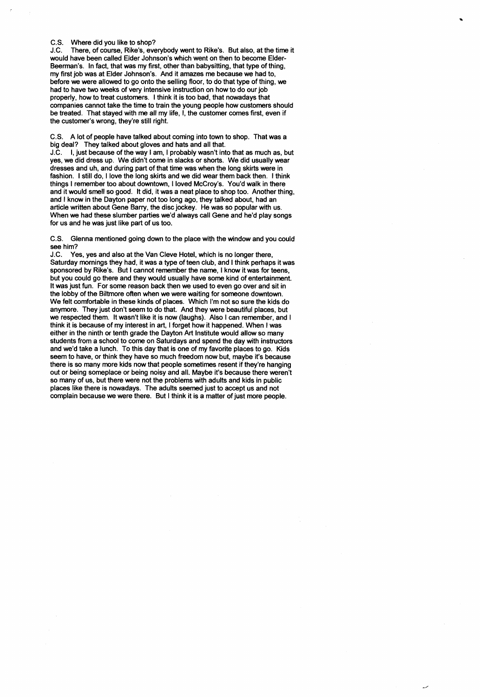#### C.S. Where did you like to shop?

J.C. There, of course, Rike's, everybody went to Rike's. But also, at the time it would have been called Elder Johnson's which went on then to become Elder-Beerman's. In fact, that was my first, other than babysitting, that type of thing, my first job was at Elder Johnson's. And it amazes me because we had to, before we were allowed to go onto the selling floor, to do that type of thing, we had to have two weeks of very intensive instruction on how to do our job properly, how to treat customers. I think it is too bad, that nowadays that companies cannot take the time to train the young people how customers should be treated. That stayed with me all my life, I, the customer comes first, even if the customer's wrong, they're still right.

C.S. A lot of people have talked about coming into town to shop. That was a big deal? They talked about gloves and hats and all that.

J.C. I, just because of the way I am, I probably wasn't into that as much as, but yes, we did dress up. We didn't come in slacks or shorts. We did usually wear dresses and uh, and during part of that time was when the long skirts were in fashion. I still do, I love the long skirts and we did wear them back then. I think things I remember too about downtown, I loved McCroy's. You'd walk in there and it would smell so good. It did, it was a neat place to shop too. Another thing, and I know in the Dayton paper not too long ago, they talked about, had an article written about Gene Barry, the disc jockey. He was so popular with us. When we had these slumber parties we'd always call Gene and he'd play songs for us and he was just like part of us too.

C.S. Glenna mentioned going down to the place with the window and you could see him?

J.C. Yes, yes and also at the Van Cleve Hotel, which is no longer there, Saturday mornings they had, it was a type of teen club, and I think perhaps it was sponsored by Rike's. But I cannot remember the name, I know it was for teens, but you could go there and they would usually have some kind of entertainment. It was just fun. For some reason back then we used to even go over and sit in the lobby of the Biltmore often when we were waiting for someone downtown. We felt comfortable in these kinds of places. Which I'm not so sure the kids do anymore. They just don't seem to do that. And they were beautiful places, but we respected them. It wasn't like it is now (laughs). Also I can remember, and I think it is because of my interest in art, I forget how it happened. When I was either in the ninth or tenth grade the Dayton Art Institute would allow so many students from a school to come on Saturdays and spend the day with instructors and we'd take a lunch. To this day that is one of my favorite places to go. Kids seem to have, or think they have so much freedom now but, maybe it's because there is so many more kids now that people sometimes resent if they're hanging out or being someplace or being noisy and all. Maybe it's because there weren't so many of us, but there were not the problems with adults and kids in public places like there is nowadays. The adults seemed just to accept us and not complain because we were there. But I think it is a matter of just more people.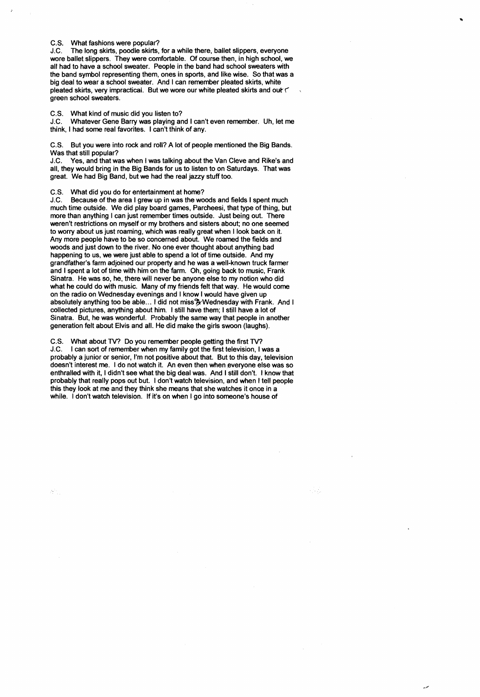#### C.S. What fashions were popular?

 $\boldsymbol{r}$ 

J.C. The long skirts, poodle skirts, for a while there, ballet slippers, everyone wore ballet slippers. They were comfortable. Of course then, in high school, we all had to have a school sweater. People in the band had school sweaters with the band symbol representing them, ones in sports, and like wise. So that was a big deal to wear a school sweater. And I can remember pleated skirts, white pleated skirts, very impractical. But we wore our white pleated skirts and out  $\Gamma$ green school sweaters.

C.S. What kind of music did you listen to?

J.C. Whatever Gene Barry was playing and I can't even remember. Uh, let me think, I had some real favorites. I can't think of any.

C.S. But you were into rock and roll? A lot of people mentioned the Big Bands. Was that still popular?

J.C. Yes, and that was when I was talking about the Van Cleve and Rike's and all, they would bring in the Big Bands for us to listen to on Saturdays. That was great. We had Big Band, but we had the real jazzy stuff too.

C.S. What did you do for entertainment at horne?

J.C. Because of the area I grew up in was the woods and fields I spent much much time outside. We did play board games, Parcheesi, that type of thing, but more than anything I can just remember times outside. Just being out. There weren't restrictions on myself or my brothers and sisters about; no one seemed to worry about us just roaming, which was really great when I look back on it. Any more people have to be so concerned about. We roamed the fields and woods and just down to the river. No one ever thought about anything bad happening to us, we were just able to spend a lot of time outside. And my grandfather's farm adjoined our property and he was a well-known truck farmer and I spent a lot of time with him on the farm. Oh, going back to music, Frank Sinatra. He was so, he, there will never be anyone else to my notion who did what he could do with music. Many of my friends felt that way. He would come on the radio on Wednesday evenings and I know I would have given up absolutely anything too be able... I did not miss ? Wednesday with Frank. And I collected pictures, anything about him. I still have them; I still have a lot of Sinatra. But, he was wonderful. Probably the same way that people in another generation felt about Elvis and all. He did make the girls swoon (laughs).

C.S. What about TV? Do you remember people getting the first TV? J.C. I can sort of remember when my family got the first television, I was a probably a junior or senior, I'm not positive about that. But to this day, television doesn't interest me. I do not watch it. An even then when everyone else was so enthralled with it, I didn't see what the big deal was. And I still don't. I know that probably that really pops out but. I don't watch television, and when I tell people this they look at me and they think she means that she watches it once in a while. I don't watch television. If it's on when I go into someone's house of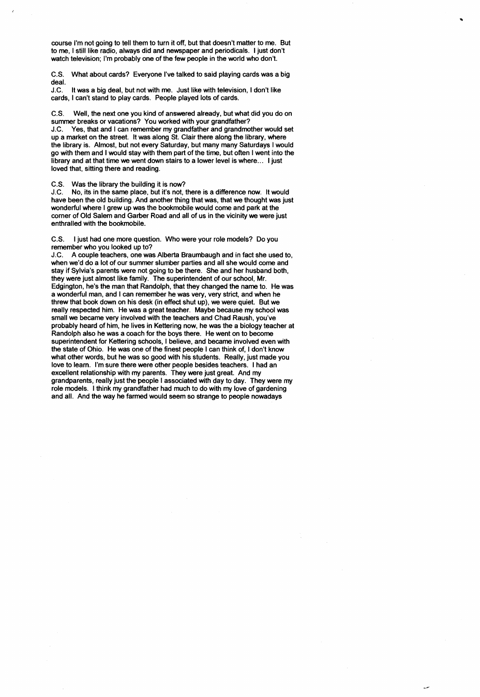course I'm not going to tell them to turn it off, but that doesn't matter to me. But to me, I still like radio, always did and newspaper and periodicals. I just don't watch television; I'm probably one of the few people in the world who don't.

C.S. What about cards? Everyone I've talked to said playing cards was a big deal.

J.C. It was a big deal, but not with me. Just like with television, I don't like cards, I can't stand to play cards. People played lots of cards.

C.S. Well, the next one you kind of answered already, but what did you do on summer breaks or vacations? You worked with your grandfather? J.C. Yes, that and I can remember my grandfather and grandmother would set up a market on the street. It was along St. Clair there along the library, where the library is. Almost, but not every Saturday, but many many Saturdays I would go with them and I would stay with them part of the time, but often I went into the library and at that time we went down stairs to a lower level is where... I just loved that, sitting there and reading.

C.S. Was the library the building it is now?

;

J.C. No, its in the same place, but it's not, there is a difference now. It would have been the old building. And another thing that was, that we thought was just wonderful where I grew up was the bookmobile would come and park at the corner of Old Salem and Garber Road and all of us in the vicinity we were just enthralled with the bookmobile.

C.S. I just had one more question. Who were your role models? Do you remember who you looked up to?

J.C. A couple teachers, one was Alberta Braumbaugh and in fact she used to, when we'd do a lot of our summer slumber parties and all she would come and stay if Sylvia's parents were not going to be there. She and her husband both, they were just almost like family. The superintendent of our school, Mr. Edgington, he's the man that Randolph, that they changed the name to. He was a wonderful man, and I can remember he was very, very strict, and when he threw that book down on his desk (in effect shut up), we were quiet. But we really respeded him. He was a great teacher. Maybe because my school was small we became very involved with the teachers and Chad Raush, you've probably heard of him, he lives in Kettering now, he was the a biology teacher at Randolph also he was a coach for the boys there. He went on to become superintendent for Kettering schools, I believe, and became involved even with the state of Ohio. He was one of the finest people I can think of, I don't know what other words, but he was so good with his students. Really, just made you love to learn. I'm sure there were other people besides teachers. I had an excellent relationship with my parents. They were just great. And my grandparents, really just the people I associated with day to day. They were my role models. I think my grandfather had much to do with my love of gardening and all. And the way he farmed would seem so strange to people nowadays